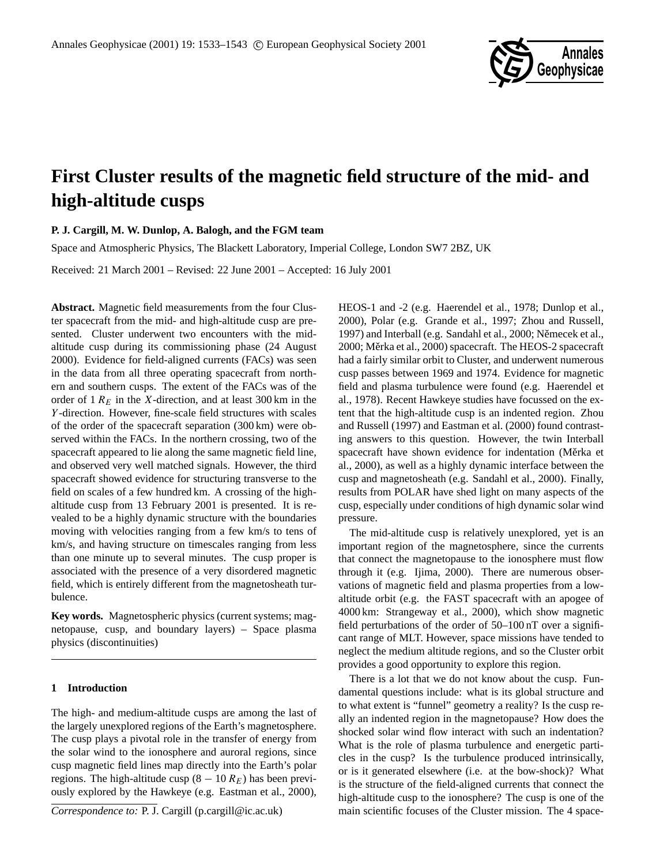

# **First Cluster results of the magnetic field structure of the mid- and high-altitude cusps**

## **P. J. Cargill, M. W. Dunlop, A. Balogh, and the FGM team**

Space and Atmospheric Physics, The Blackett Laboratory, Imperial College, London SW7 2BZ, UK

Received: 21 March 2001 – Revised: 22 June 2001 – Accepted: 16 July 2001

**Abstract.** Magnetic field measurements from the four Cluster spacecraft from the mid- and high-altitude cusp are presented. Cluster underwent two encounters with the midaltitude cusp during its commissioning phase (24 August 2000). Evidence for field-aligned currents (FACs) was seen in the data from all three operating spacecraft from northern and southern cusps. The extent of the FACs was of the order of 1  $R_E$  in the X-direction, and at least 300 km in the Y -direction. However, fine-scale field structures with scales of the order of the spacecraft separation (300 km) were observed within the FACs. In the northern crossing, two of the spacecraft appeared to lie along the same magnetic field line, and observed very well matched signals. However, the third spacecraft showed evidence for structuring transverse to the field on scales of a few hundred km. A crossing of the highaltitude cusp from 13 February 2001 is presented. It is revealed to be a highly dynamic structure with the boundaries moving with velocities ranging from a few km/s to tens of km/s, and having structure on timescales ranging from less than one minute up to several minutes. The cusp proper is associated with the presence of a very disordered magnetic field, which is entirely different from the magnetosheath turbulence.

**Key words.** Magnetospheric physics (current systems; magnetopause, cusp, and boundary layers) – Space plasma physics (discontinuities)

#### **1 Introduction**

The high- and medium-altitude cusps are among the last of the largely unexplored regions of the Earth's magnetosphere. The cusp plays a pivotal role in the transfer of energy from the solar wind to the ionosphere and auroral regions, since cusp magnetic field lines map directly into the Earth's polar regions. The high-altitude cusp (8 – 10  $R_E$ ) has been previously explored by the Hawkeye (e.g. Eastman et al., 2000),

*Correspondence to:* P. J. Cargill (p.cargill@ic.ac.uk)

HEOS-1 and -2 (e.g. Haerendel et al., 1978; Dunlop et al., 2000), Polar (e.g. Grande et al., 1997; Zhou and Russell, 1997) and Interball (e.g. Sandahl et al., 2000; Němecek et al., 2000; Měrka et al., 2000) spacecraft. The HEOS-2 spacecraft had a fairly similar orbit to Cluster, and underwent numerous cusp passes between 1969 and 1974. Evidence for magnetic field and plasma turbulence were found (e.g. Haerendel et al., 1978). Recent Hawkeye studies have focussed on the extent that the high-altitude cusp is an indented region. Zhou and Russell (1997) and Eastman et al. (2000) found contrasting answers to this question. However, the twin Interball spacecraft have shown evidence for indentation (Měrka et al., 2000), as well as a highly dynamic interface between the cusp and magnetosheath (e.g. Sandahl et al., 2000). Finally, results from POLAR have shed light on many aspects of the cusp, especially under conditions of high dynamic solar wind pressure.

The mid-altitude cusp is relatively unexplored, yet is an important region of the magnetosphere, since the currents that connect the magnetopause to the ionosphere must flow through it (e.g. Ijima, 2000). There are numerous observations of magnetic field and plasma properties from a lowaltitude orbit (e.g. the FAST spacecraft with an apogee of 4000 km: Strangeway et al., 2000), which show magnetic field perturbations of the order of 50–100 nT over a significant range of MLT. However, space missions have tended to neglect the medium altitude regions, and so the Cluster orbit provides a good opportunity to explore this region.

There is a lot that we do not know about the cusp. Fundamental questions include: what is its global structure and to what extent is "funnel" geometry a reality? Is the cusp really an indented region in the magnetopause? How does the shocked solar wind flow interact with such an indentation? What is the role of plasma turbulence and energetic particles in the cusp? Is the turbulence produced intrinsically, or is it generated elsewhere (i.e. at the bow-shock)? What is the structure of the field-aligned currents that connect the high-altitude cusp to the ionosphere? The cusp is one of the main scientific focuses of the Cluster mission. The 4 space-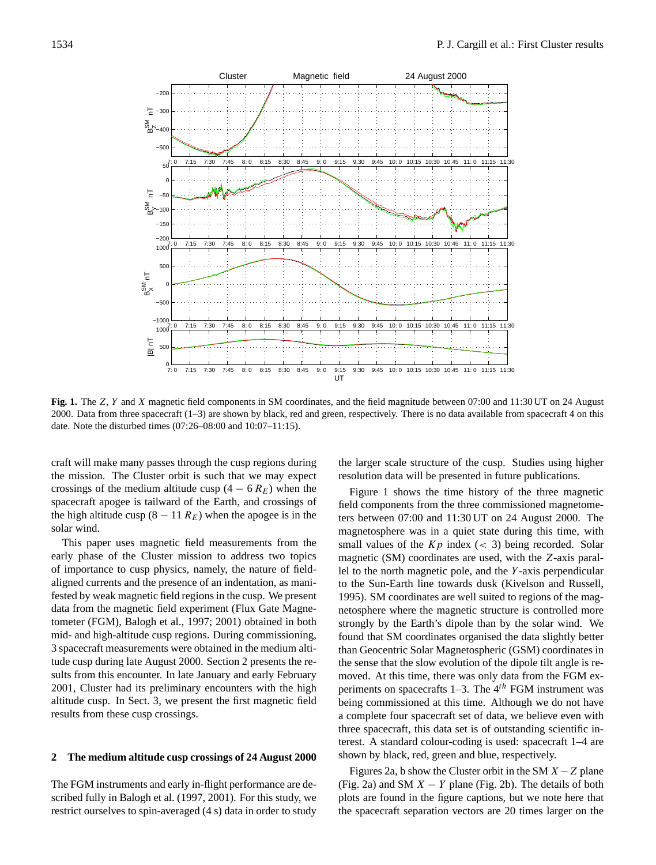

**Fig. 1.** The Z, Y and X magnetic field components in SM coordinates, and the field magnitude between 07:00 and 11:30 UT on 24 August 2000. Data from three spacecraft  $(1-3)$  are shown by black, red and green, respectively. There is no data available from spacecraft 4 on this date. Note the disturbed times (07:26–08:00 and 10:07–11:15).

craft will make many passes through the cusp regions during the mission. The Cluster orbit is such that we may expect crossings of the medium altitude cusp  $(4 - 6 R_E)$  when the spacecraft apogee is tailward of the Earth, and crossings of the high altitude cusp (8 – 11  $R_E$ ) when the apogee is in the solar wind.

This paper uses magnetic field measurements from the early phase of the Cluster mission to address two topics of importance to cusp physics, namely, the nature of fieldaligned currents and the presence of an indentation, as manifested by weak magnetic field regions in the cusp. We present data from the magnetic field experiment (Flux Gate Magnetometer (FGM), Balogh et al., 1997; 2001) obtained in both mid- and high-altitude cusp regions. During commissioning, 3 spacecraft measurements were obtained in the medium altitude cusp during late August 2000. Section 2 presents the results from this encounter. In late January and early February 2001, Cluster had its preliminary encounters with the high altitude cusp. In Sect. 3, we present the first magnetic field results from these cusp crossings.

#### **2 The medium altitude cusp crossings of 24 August 2000**

The FGM instruments and early in-flight performance are described fully in Balogh et al. (1997, 2001). For this study, we restrict ourselves to spin-averaged (4 s) data in order to study the larger scale structure of the cusp. Studies using higher resolution data will be presented in future publications.

Figure 1 shows the time history of the three magnetic field components from the three commissioned magnetometers between 07:00 and 11:30 UT on 24 August 2000. The magnetosphere was in a quiet state during this time, with small values of the  $Kp$  index (< 3) being recorded. Solar magnetic (SM) coordinates are used, with the Z-axis parallel to the north magnetic pole, and the Y -axis perpendicular to the Sun-Earth line towards dusk (Kivelson and Russell, 1995). SM coordinates are well suited to regions of the magnetosphere where the magnetic structure is controlled more strongly by the Earth's dipole than by the solar wind. We found that SM coordinates organised the data slightly better than Geocentric Solar Magnetospheric (GSM) coordinates in the sense that the slow evolution of the dipole tilt angle is removed. At this time, there was only data from the FGM experiments on spacecrafts 1–3. The  $4<sup>th</sup>$  FGM instrument was being commissioned at this time. Although we do not have a complete four spacecraft set of data, we believe even with three spacecraft, this data set is of outstanding scientific interest. A standard colour-coding is used: spacecraft 1–4 are shown by black, red, green and blue, respectively.

Figures 2a, b show the Cluster orbit in the SM  $X-Z$  plane (Fig. 2a) and SM  $X - Y$  plane (Fig. 2b). The details of both plots are found in the figure captions, but we note here that the spacecraft separation vectors are 20 times larger on the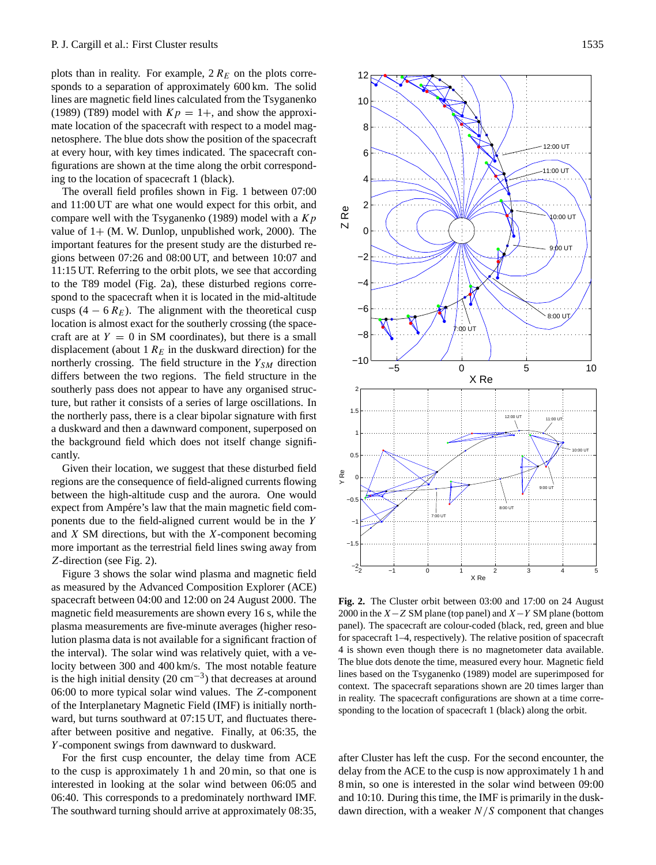plots than in reality. For example,  $2 R_E$  on the plots corresponds to a separation of approximately 600 km. The solid lines are magnetic field lines calculated from the Tsyganenko (1989) (T89) model with  $Kp = 1 +$ , and show the approximate location of the spacecraft with respect to a model magnetosphere. The blue dots show the position of the spacecraft at every hour, with key times indicated. The spacecraft configurations are shown at the time along the orbit corresponding to the location of spacecraft 1 (black).

The overall field profiles shown in Fig. 1 between 07:00 and 11:00 UT are what one would expect for this orbit, and compare well with the Tsyganenko (1989) model with a  $Kp$ value of  $1+$  (M. W. Dunlop, unpublished work, 2000). The important features for the present study are the disturbed regions between 07:26 and 08:00 UT, and between 10:07 and 11:15 UT. Referring to the orbit plots, we see that according to the T89 model (Fig. 2a), these disturbed regions correspond to the spacecraft when it is located in the mid-altitude cusps  $(4 - 6 R_E)$ . The alignment with the theoretical cusp location is almost exact for the southerly crossing (the spacecraft are at  $Y = 0$  in SM coordinates), but there is a small displacement (about 1  $R_E$  in the duskward direction) for the northerly crossing. The field structure in the  $Y_{SM}$  direction differs between the two regions. The field structure in the southerly pass does not appear to have any organised structure, but rather it consists of a series of large oscillations. In the northerly pass, there is a clear bipolar signature with first a duskward and then a dawnward component, superposed on the background field which does not itself change significantly.

Given their location, we suggest that these disturbed field regions are the consequence of field-aligned currents flowing between the high-altitude cusp and the aurora. One would expect from Ampére's law that the main magnetic field components due to the field-aligned current would be in the Y and  $X$  SM directions, but with the  $X$ -component becoming more important as the terrestrial field lines swing away from Z-direction (see Fig. 2).

Figure 3 shows the solar wind plasma and magnetic field as measured by the Advanced Composition Explorer (ACE) spacecraft between 04:00 and 12:00 on 24 August 2000. The magnetic field measurements are shown every 16 s, while the plasma measurements are five-minute averages (higher resolution plasma data is not available for a significant fraction of the interval). The solar wind was relatively quiet, with a velocity between 300 and 400 km/s. The most notable feature is the high initial density (20 cm<sup>-3</sup>) that decreases at around 06:00 to more typical solar wind values. The Z-component of the Interplanetary Magnetic Field (IMF) is initially northward, but turns southward at 07:15 UT, and fluctuates thereafter between positive and negative. Finally, at 06:35, the Y -component swings from dawnward to duskward.

For the first cusp encounter, the delay time from ACE to the cusp is approximately 1 h and 20 min, so that one is interested in looking at the solar wind between 06:05 and 06:40. This corresponds to a predominately northward IMF. The southward turning should arrive at approximately 08:35,



**Fig. 2.** The Cluster orbit between 03:00 and 17:00 on 24 August 2000 in the  $X-Z$  SM plane (top panel) and  $X-Y$  SM plane (bottom panel). The spacecraft are colour-coded (black, red, green and blue for spacecraft 1–4, respectively). The relative position of spacecraft 4 is shown even though there is no magnetometer data available. The blue dots denote the time, measured every hour. Magnetic field lines based on the Tsyganenko (1989) model are superimposed for context. The spacecraft separations shown are 20 times larger than in reality. The spacecraft configurations are shown at a time corresponding to the location of spacecraft 1 (black) along the orbit.

after Cluster has left the cusp. For the second encounter, the delay from the ACE to the cusp is now approximately 1 h and 8 min, so one is interested in the solar wind between 09:00 and 10:10. During this time, the IMF is primarily in the duskdawn direction, with a weaker  $N/S$  component that changes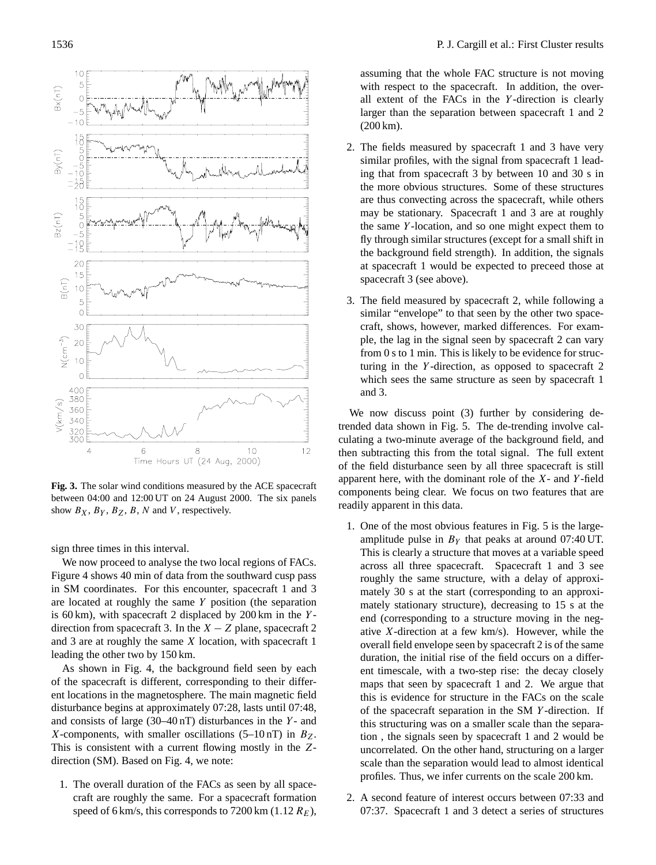

**Fig. 3.** The solar wind conditions measured by the ACE spacecraft between 04:00 and 12:00 UT on 24 August 2000. The six panels show  $B_X$ ,  $B_Y$ ,  $B_Z$ ,  $B$ ,  $N$  and  $V$ , respectively.

sign three times in this interval.

We now proceed to analyse the two local regions of FACs. Figure 4 shows 40 min of data from the southward cusp pass in SM coordinates. For this encounter, spacecraft 1 and 3 are located at roughly the same Y position (the separation is  $60 \text{ km}$ ), with spacecraft 2 displaced by  $200 \text{ km}$  in the Ydirection from spacecraft 3. In the  $X - Z$  plane, spacecraft 2 and 3 are at roughly the same X location, with spacecraft 1 leading the other two by 150 km.

As shown in Fig. 4, the background field seen by each of the spacecraft is different, corresponding to their different locations in the magnetosphere. The main magnetic field disturbance begins at approximately 07:28, lasts until 07:48, and consists of large  $(30-40 \text{ nT})$  disturbances in the Y- and X-components, with smaller oscillations (5–10 nT) in  $B_Z$ . This is consistent with a current flowing mostly in the Zdirection (SM). Based on Fig. 4, we note:

1. The overall duration of the FACs as seen by all spacecraft are roughly the same. For a spacecraft formation speed of 6 km/s, this corresponds to 7200 km (1.12  $R_E$ ),

assuming that the whole FAC structure is not moving with respect to the spacecraft. In addition, the overall extent of the FACs in the Y -direction is clearly larger than the separation between spacecraft 1 and 2 (200 km).

- 2. The fields measured by spacecraft 1 and 3 have very similar profiles, with the signal from spacecraft 1 leading that from spacecraft 3 by between 10 and 30 s in the more obvious structures. Some of these structures are thus convecting across the spacecraft, while others may be stationary. Spacecraft 1 and 3 are at roughly the same  $Y$ -location, and so one might expect them to fly through similar structures (except for a small shift in the background field strength). In addition, the signals at spacecraft 1 would be expected to preceed those at spacecraft 3 (see above).
- 3. The field measured by spacecraft 2, while following a similar "envelope" to that seen by the other two spacecraft, shows, however, marked differences. For example, the lag in the signal seen by spacecraft 2 can vary from 0 s to 1 min. This is likely to be evidence for structuring in the Y -direction, as opposed to spacecraft 2 which sees the same structure as seen by spacecraft 1 and 3.

We now discuss point (3) further by considering detrended data shown in Fig. 5. The de-trending involve calculating a two-minute average of the background field, and then subtracting this from the total signal. The full extent of the field disturbance seen by all three spacecraft is still apparent here, with the dominant role of the  $X$ - and  $Y$ -field components being clear. We focus on two features that are readily apparent in this data.

- 1. One of the most obvious features in Fig. 5 is the largeamplitude pulse in  $B<sub>Y</sub>$  that peaks at around 07:40 UT. This is clearly a structure that moves at a variable speed across all three spacecraft. Spacecraft 1 and 3 see roughly the same structure, with a delay of approximately 30 s at the start (corresponding to an approximately stationary structure), decreasing to 15 s at the end (corresponding to a structure moving in the negative X-direction at a few km/s). However, while the overall field envelope seen by spacecraft 2 is of the same duration, the initial rise of the field occurs on a different timescale, with a two-step rise: the decay closely maps that seen by spacecraft 1 and 2. We argue that this is evidence for structure in the FACs on the scale of the spacecraft separation in the SM Y -direction. If this structuring was on a smaller scale than the separation , the signals seen by spacecraft 1 and 2 would be uncorrelated. On the other hand, structuring on a larger scale than the separation would lead to almost identical profiles. Thus, we infer currents on the scale 200 km.
- 2. A second feature of interest occurs between 07:33 and 07:37. Spacecraft 1 and 3 detect a series of structures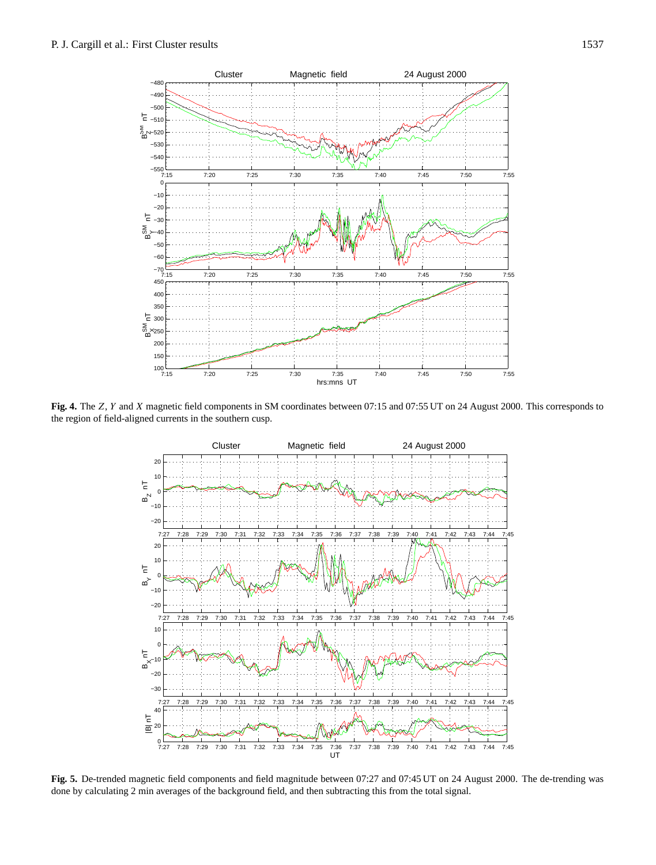

**Fig. 4.** The Z, Y and X magnetic field components in SM coordinates between 07:15 and 07:55 UT on 24 August 2000. This corresponds to the region of field-aligned currents in the southern cusp.



**Fig. 5.** De-trended magnetic field components and field magnitude between 07:27 and 07:45 UT on 24 August 2000. The de-trending was done by calculating 2 min averages of the background field, and then subtracting this from the total signal.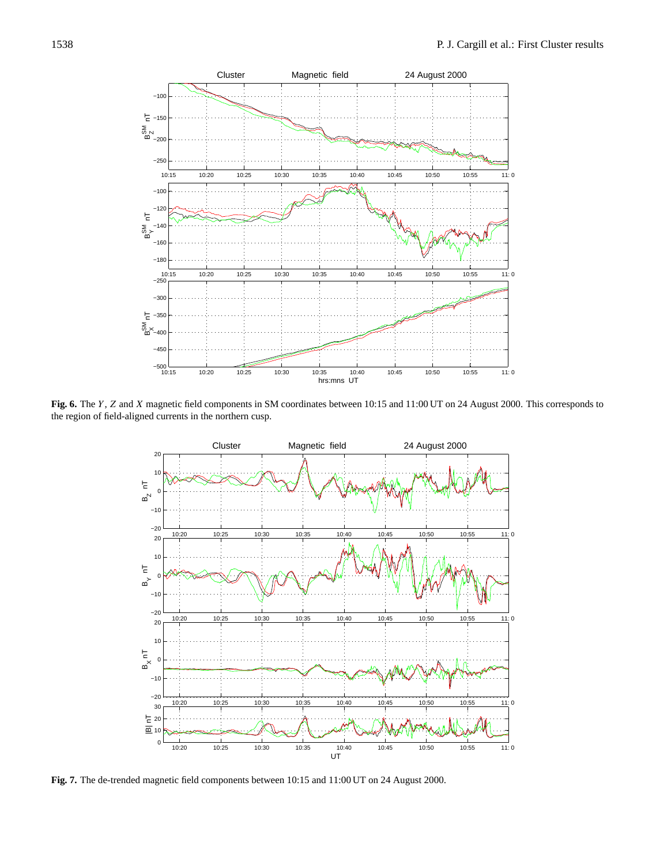

Fig. 6. The Y, Z and X magnetic field components in SM coordinates between 10:15 and 11:00 UT on 24 August 2000. This corresponds to the region of field-aligned currents in the northern cusp.



**Fig. 7.** The de-trended magnetic field components between 10:15 and 11:00 UT on 24 August 2000.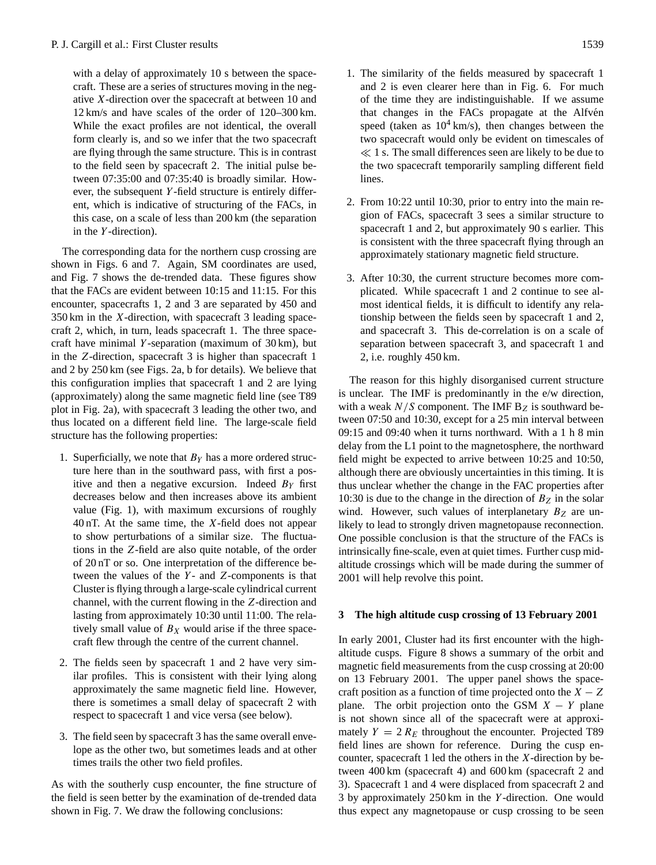with a delay of approximately 10 s between the spacecraft. These are a series of structures moving in the negative X-direction over the spacecraft at between 10 and 12 km/s and have scales of the order of 120–300 km. While the exact profiles are not identical, the overall form clearly is, and so we infer that the two spacecraft are flying through the same structure. This is in contrast to the field seen by spacecraft 2. The initial pulse between 07:35:00 and 07:35:40 is broadly similar. However, the subsequent  $Y$ -field structure is entirely different, which is indicative of structuring of the FACs, in this case, on a scale of less than 200 km (the separation in the Y -direction).

The corresponding data for the northern cusp crossing are shown in Figs. 6 and 7. Again, SM coordinates are used, and Fig. 7 shows the de-trended data. These figures show that the FACs are evident between 10:15 and 11:15. For this encounter, spacecrafts 1, 2 and 3 are separated by 450 and 350 km in the X-direction, with spacecraft 3 leading spacecraft 2, which, in turn, leads spacecraft 1. The three spacecraft have minimal Y-separation (maximum of  $30 \text{ km}$ ), but in the Z-direction, spacecraft 3 is higher than spacecraft 1 and 2 by 250 km (see Figs. 2a, b for details). We believe that this configuration implies that spacecraft 1 and 2 are lying (approximately) along the same magnetic field line (see T89 plot in Fig. 2a), with spacecraft 3 leading the other two, and thus located on a different field line. The large-scale field structure has the following properties:

- 1. Superficially, we note that  $B<sub>Y</sub>$  has a more ordered structure here than in the southward pass, with first a positive and then a negative excursion. Indeed  $B<sub>Y</sub>$  first decreases below and then increases above its ambient value (Fig. 1), with maximum excursions of roughly 40 nT. At the same time, the X-field does not appear to show perturbations of a similar size. The fluctuations in the Z-field are also quite notable, of the order of 20 nT or so. One interpretation of the difference between the values of the  $Y$ - and  $Z$ -components is that Cluster is flying through a large-scale cylindrical current channel, with the current flowing in the Z-direction and lasting from approximately 10:30 until 11:00. The relatively small value of  $B_X$  would arise if the three spacecraft flew through the centre of the current channel.
- 2. The fields seen by spacecraft 1 and 2 have very similar profiles. This is consistent with their lying along approximately the same magnetic field line. However, there is sometimes a small delay of spacecraft 2 with respect to spacecraft 1 and vice versa (see below).
- 3. The field seen by spacecraft 3 has the same overall envelope as the other two, but sometimes leads and at other times trails the other two field profiles.

As with the southerly cusp encounter, the fine structure of the field is seen better by the examination of de-trended data shown in Fig. 7. We draw the following conclusions:

- 1. The similarity of the fields measured by spacecraft 1 and 2 is even clearer here than in Fig. 6. For much of the time they are indistinguishable. If we assume that changes in the FACs propagate at the Alfvén speed (taken as  $10^4$  km/s), then changes between the two spacecraft would only be evident on timescales of  $\ll 1$  s. The small differences seen are likely to be due to the two spacecraft temporarily sampling different field lines.
- 2. From 10:22 until 10:30, prior to entry into the main region of FACs, spacecraft 3 sees a similar structure to spacecraft 1 and 2, but approximately 90 s earlier. This is consistent with the three spacecraft flying through an approximately stationary magnetic field structure.
- 3. After 10:30, the current structure becomes more complicated. While spacecraft 1 and 2 continue to see almost identical fields, it is difficult to identify any relationship between the fields seen by spacecraft 1 and 2, and spacecraft 3. This de-correlation is on a scale of separation between spacecraft 3, and spacecraft 1 and 2, i.e. roughly 450 km.

The reason for this highly disorganised current structure is unclear. The IMF is predominantly in the e/w direction, with a weak  $N/S$  component. The IMF  $B_Z$  is southward between 07:50 and 10:30, except for a 25 min interval between 09:15 and 09:40 when it turns northward. With a 1 h 8 min delay from the L1 point to the magnetosphere, the northward field might be expected to arrive between 10:25 and 10:50, although there are obviously uncertainties in this timing. It is thus unclear whether the change in the FAC properties after 10:30 is due to the change in the direction of  $B_Z$  in the solar wind. However, such values of interplanetary  $B<sub>Z</sub>$  are unlikely to lead to strongly driven magnetopause reconnection. One possible conclusion is that the structure of the FACs is intrinsically fine-scale, even at quiet times. Further cusp midaltitude crossings which will be made during the summer of 2001 will help revolve this point.

#### **3 The high altitude cusp crossing of 13 February 2001**

In early 2001, Cluster had its first encounter with the highaltitude cusps. Figure 8 shows a summary of the orbit and magnetic field measurements from the cusp crossing at 20:00 on 13 February 2001. The upper panel shows the spacecraft position as a function of time projected onto the  $X - Z$ plane. The orbit projection onto the GSM  $X - Y$  plane is not shown since all of the spacecraft were at approximately  $Y = 2 R_E$  throughout the encounter. Projected T89 field lines are shown for reference. During the cusp encounter, spacecraft 1 led the others in the X-direction by between 400 km (spacecraft 4) and 600 km (spacecraft 2 and 3). Spacecraft 1 and 4 were displaced from spacecraft 2 and 3 by approximately 250 km in the Y -direction. One would thus expect any magnetopause or cusp crossing to be seen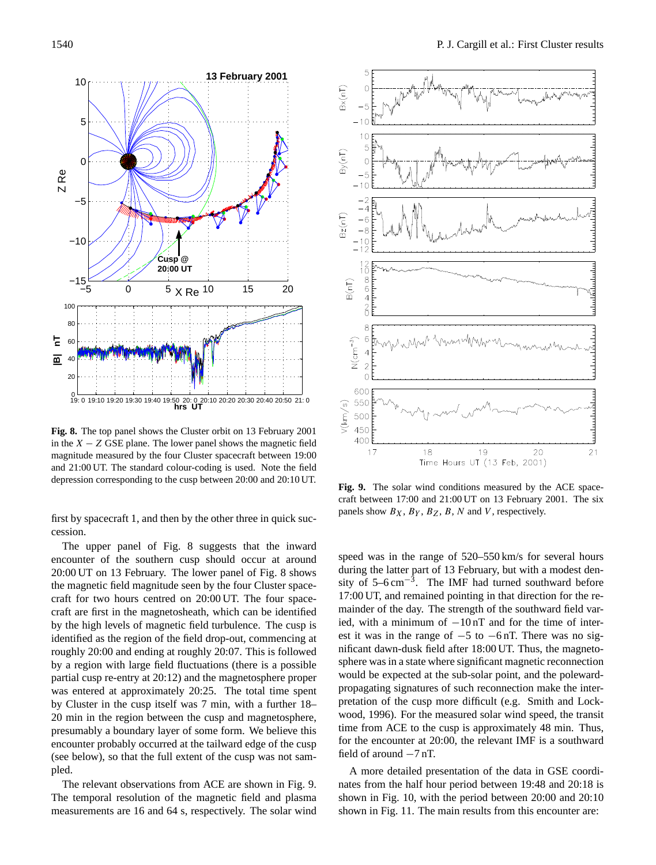

**Fig. 8.** The top panel shows the Cluster orbit on 13 February 2001 in the  $X - Z$  GSE plane. The lower panel shows the magnetic field magnitude measured by the four Cluster spacecraft between 19:00 and 21:00 UT. The standard colour-coding is used. Note the field depression corresponding to the cusp between 20:00 and 20:10 UT.

first by spacecraft 1, and then by the other three in quick succession.

The upper panel of Fig. 8 suggests that the inward encounter of the southern cusp should occur at around 20:00 UT on 13 February. The lower panel of Fig. 8 shows the magnetic field magnitude seen by the four Cluster spacecraft for two hours centred on 20:00 UT. The four spacecraft are first in the magnetosheath, which can be identified by the high levels of magnetic field turbulence. The cusp is identified as the region of the field drop-out, commencing at roughly 20:00 and ending at roughly 20:07. This is followed by a region with large field fluctuations (there is a possible partial cusp re-entry at 20:12) and the magnetosphere proper was entered at approximately 20:25. The total time spent by Cluster in the cusp itself was 7 min, with a further 18– 20 min in the region between the cusp and magnetosphere, presumably a boundary layer of some form. We believe this encounter probably occurred at the tailward edge of the cusp (see below), so that the full extent of the cusp was not sampled.

The relevant observations from ACE are shown in Fig. 9. The temporal resolution of the magnetic field and plasma measurements are 16 and 64 s, respectively. The solar wind



**Fig. 9.** The solar wind conditions measured by the ACE spacecraft between 17:00 and 21:00 UT on 13 February 2001. The six panels show  $B_X$ ,  $B_Y$ ,  $B_Z$ ,  $B$ ,  $N$  and  $V$ , respectively.

speed was in the range of 520–550 km/s for several hours during the latter part of 13 February, but with a modest density of  $5-6 \text{ cm}^{-3}$ . The IMF had turned southward before 17:00 UT, and remained pointing in that direction for the remainder of the day. The strength of the southward field varied, with a minimum of  $-10$  nT and for the time of interest it was in the range of  $-5$  to  $-6$  nT. There was no significant dawn-dusk field after 18:00 UT. Thus, the magnetosphere was in a state where significant magnetic reconnection would be expected at the sub-solar point, and the polewardpropagating signatures of such reconnection make the interpretation of the cusp more difficult (e.g. Smith and Lockwood, 1996). For the measured solar wind speed, the transit time from ACE to the cusp is approximately 48 min. Thus, for the encounter at 20:00, the relevant IMF is a southward field of around −7 nT.

A more detailed presentation of the data in GSE coordinates from the half hour period between 19:48 and 20:18 is shown in Fig. 10, with the period between 20:00 and 20:10 shown in Fig. 11. The main results from this encounter are: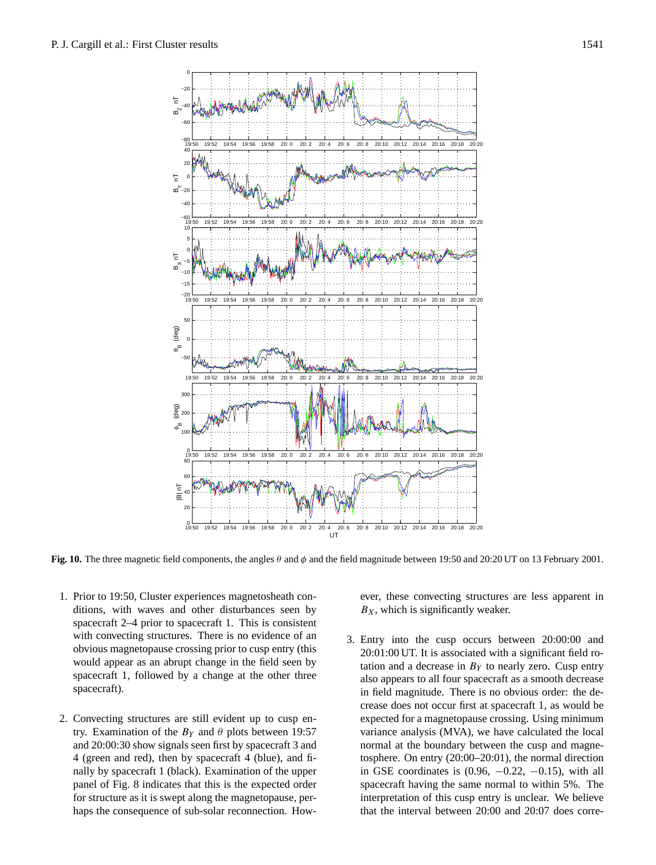

**Fig. 10.** The three magnetic field components, the angles θ and φ and the field magnitude between 19:50 and 20:20 UT on 13 February 2001.

- 1. Prior to 19:50, Cluster experiences magnetosheath conditions, with waves and other disturbances seen by spacecraft 2–4 prior to spacecraft 1. This is consistent with convecting structures. There is no evidence of an obvious magnetopause crossing prior to cusp entry (this would appear as an abrupt change in the field seen by spacecraft 1, followed by a change at the other three spacecraft).
- 2. Convecting structures are still evident up to cusp entry. Examination of the  $B<sub>Y</sub>$  and  $\theta$  plots between 19:57 and 20:00:30 show signals seen first by spacecraft 3 and 4 (green and red), then by spacecraft 4 (blue), and finally by spacecraft 1 (black). Examination of the upper panel of Fig. 8 indicates that this is the expected order for structure as it is swept along the magnetopause, perhaps the consequence of sub-solar reconnection. How-

ever, these convecting structures are less apparent in  $B_X$ , which is significantly weaker.

3. Entry into the cusp occurs between 20:00:00 and 20:01:00 UT. It is associated with a significant field rotation and a decrease in  $B<sub>Y</sub>$  to nearly zero. Cusp entry also appears to all four spacecraft as a smooth decrease in field magnitude. There is no obvious order: the decrease does not occur first at spacecraft 1, as would be expected for a magnetopause crossing. Using minimum variance analysis (MVA), we have calculated the local normal at the boundary between the cusp and magnetosphere. On entry (20:00–20:01), the normal direction in GSE coordinates is  $(0.96, -0.22, -0.15)$ , with all spacecraft having the same normal to within 5%. The interpretation of this cusp entry is unclear. We believe that the interval between 20:00 and 20:07 does corre-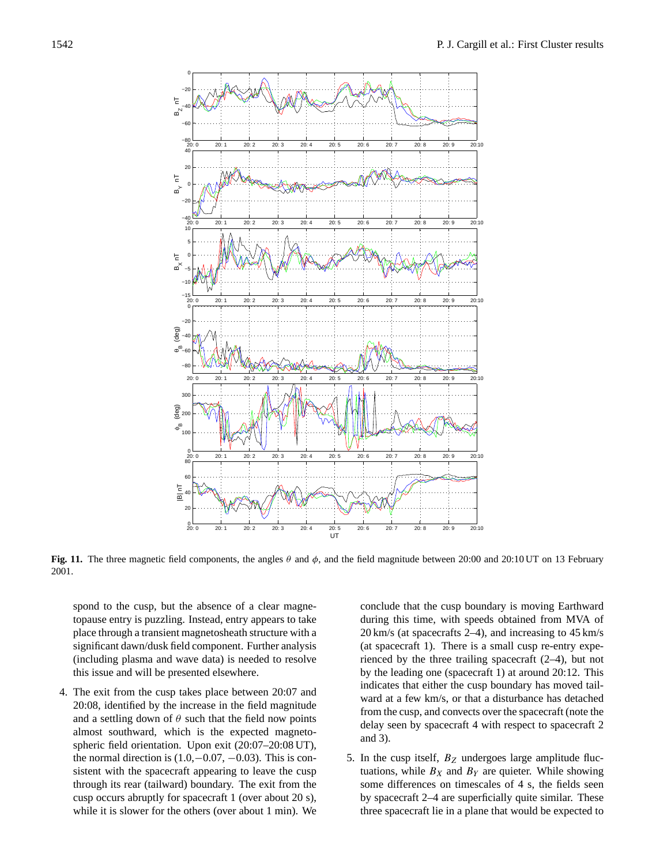

**Fig. 11.** The three magnetic field components, the angles θ and φ, and the field magnitude between 20:00 and 20:10 UT on 13 February 2001.

spond to the cusp, but the absence of a clear magnetopause entry is puzzling. Instead, entry appears to take place through a transient magnetosheath structure with a significant dawn/dusk field component. Further analysis (including plasma and wave data) is needed to resolve this issue and will be presented elsewhere.

4. The exit from the cusp takes place between 20:07 and 20:08, identified by the increase in the field magnitude and a settling down of  $\theta$  such that the field now points almost southward, which is the expected magnetospheric field orientation. Upon exit (20:07–20:08 UT), the normal direction is  $(1.0, -0.07, -0.03)$ . This is consistent with the spacecraft appearing to leave the cusp through its rear (tailward) boundary. The exit from the cusp occurs abruptly for spacecraft 1 (over about 20 s), while it is slower for the others (over about 1 min). We conclude that the cusp boundary is moving Earthward during this time, with speeds obtained from MVA of 20 km/s (at spacecrafts 2–4), and increasing to 45 km/s (at spacecraft 1). There is a small cusp re-entry experienced by the three trailing spacecraft (2–4), but not by the leading one (spacecraft 1) at around 20:12. This indicates that either the cusp boundary has moved tailward at a few km/s, or that a disturbance has detached from the cusp, and convects over the spacecraft (note the delay seen by spacecraft 4 with respect to spacecraft 2 and 3).

5. In the cusp itself,  $B_Z$  undergoes large amplitude fluctuations, while  $B_X$  and  $B_Y$  are quieter. While showing some differences on timescales of 4 s, the fields seen by spacecraft 2–4 are superficially quite similar. These three spacecraft lie in a plane that would be expected to